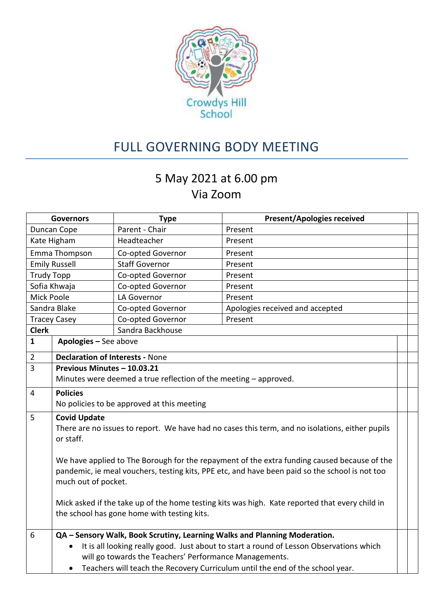

## FULL GOVERNING BODY MEETING

## 5 May 2021 at 6.00 pm Via Zoom

| <b>Governors</b>  |                                                                                                      | <b>Type</b>                                | <b>Present/Apologies received</b>                                         |  |  |
|-------------------|------------------------------------------------------------------------------------------------------|--------------------------------------------|---------------------------------------------------------------------------|--|--|
| Duncan Cope       |                                                                                                      | Parent - Chair                             | Present                                                                   |  |  |
| Kate Higham       |                                                                                                      | Headteacher                                | Present                                                                   |  |  |
| Emma Thompson     |                                                                                                      | Co-opted Governor                          | Present                                                                   |  |  |
|                   | <b>Emily Russell</b>                                                                                 | <b>Staff Governor</b>                      | Present                                                                   |  |  |
| <b>Trudy Topp</b> |                                                                                                      | Co-opted Governor                          | Present                                                                   |  |  |
|                   | Sofia Khwaja                                                                                         | Co-opted Governor                          | Present                                                                   |  |  |
| Mick Poole        |                                                                                                      | LA Governor                                | Present                                                                   |  |  |
|                   | Sandra Blake                                                                                         | Co-opted Governor                          | Apologies received and accepted                                           |  |  |
|                   | <b>Tracey Casey</b>                                                                                  | Co-opted Governor                          | Present                                                                   |  |  |
| <b>Clerk</b>      |                                                                                                      | Sandra Backhouse                           |                                                                           |  |  |
| $\mathbf{1}$      | Apologies - See above                                                                                |                                            |                                                                           |  |  |
| $\overline{2}$    | <b>Declaration of Interests - None</b>                                                               |                                            |                                                                           |  |  |
| $\overline{3}$    | Previous Minutes - 10.03.21                                                                          |                                            |                                                                           |  |  |
|                   | Minutes were deemed a true reflection of the meeting - approved.                                     |                                            |                                                                           |  |  |
| 4                 | <b>Policies</b>                                                                                      |                                            |                                                                           |  |  |
|                   |                                                                                                      | No policies to be approved at this meeting |                                                                           |  |  |
| 5                 | <b>Covid Update</b>                                                                                  |                                            |                                                                           |  |  |
|                   | There are no issues to report. We have had no cases this term, and no isolations, either pupils      |                                            |                                                                           |  |  |
|                   | or staff.                                                                                            |                                            |                                                                           |  |  |
|                   |                                                                                                      |                                            |                                                                           |  |  |
|                   | We have applied to The Borough for the repayment of the extra funding caused because of the          |                                            |                                                                           |  |  |
|                   | pandemic, ie meal vouchers, testing kits, PPE etc, and have been paid so the school is not too       |                                            |                                                                           |  |  |
|                   | much out of pocket.                                                                                  |                                            |                                                                           |  |  |
|                   | Mick asked if the take up of the home testing kits was high. Kate reported that every child in       |                                            |                                                                           |  |  |
|                   | the school has gone home with testing kits.                                                          |                                            |                                                                           |  |  |
|                   |                                                                                                      |                                            |                                                                           |  |  |
| 6                 |                                                                                                      |                                            | QA - Sensory Walk, Book Scrutiny, Learning Walks and Planning Moderation. |  |  |
|                   | It is all looking really good. Just about to start a round of Lesson Observations which<br>$\bullet$ |                                            |                                                                           |  |  |
|                   | will go towards the Teachers' Performance Managements.                                               |                                            |                                                                           |  |  |
|                   | Teachers will teach the Recovery Curriculum until the end of the school year.<br>$\bullet$           |                                            |                                                                           |  |  |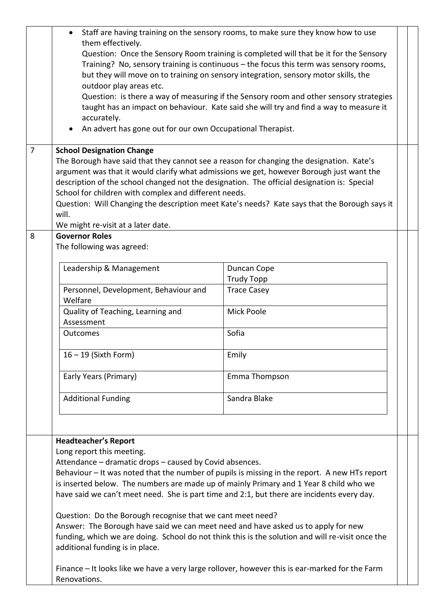|                | Staff are having training on the sensory rooms, to make sure they know how to use<br>them effectively.<br>Question: Once the Sensory Room training is completed will that be it for the Sensory<br>Training? No, sensory training is continuous - the focus this term was sensory rooms,<br>but they will move on to training on sensory integration, sensory motor skills, the<br>outdoor play areas etc.<br>Question: is there a way of measuring if the Sensory room and other sensory strategies<br>taught has an impact on behaviour. Kate said she will try and find a way to measure it<br>accurately.<br>An advert has gone out for our own Occupational Therapist. |                                                                                                                                                                                      |  |  |  |  |
|----------------|-----------------------------------------------------------------------------------------------------------------------------------------------------------------------------------------------------------------------------------------------------------------------------------------------------------------------------------------------------------------------------------------------------------------------------------------------------------------------------------------------------------------------------------------------------------------------------------------------------------------------------------------------------------------------------|--------------------------------------------------------------------------------------------------------------------------------------------------------------------------------------|--|--|--|--|
| $\overline{7}$ | <b>School Designation Change</b><br>The Borough have said that they cannot see a reason for changing the designation. Kate's                                                                                                                                                                                                                                                                                                                                                                                                                                                                                                                                                |                                                                                                                                                                                      |  |  |  |  |
|                | argument was that it would clarify what admissions we get, however Borough just want the<br>description of the school changed not the designation. The official designation is: Special<br>School for children with complex and different needs.<br>Question: Will Changing the description meet Kate's needs? Kate says that the Borough says it<br>will.                                                                                                                                                                                                                                                                                                                  |                                                                                                                                                                                      |  |  |  |  |
| 8              | We might re-visit at a later date.<br><b>Governor Roles</b>                                                                                                                                                                                                                                                                                                                                                                                                                                                                                                                                                                                                                 |                                                                                                                                                                                      |  |  |  |  |
|                | The following was agreed:                                                                                                                                                                                                                                                                                                                                                                                                                                                                                                                                                                                                                                                   |                                                                                                                                                                                      |  |  |  |  |
|                | Leadership & Management                                                                                                                                                                                                                                                                                                                                                                                                                                                                                                                                                                                                                                                     | Duncan Cope                                                                                                                                                                          |  |  |  |  |
|                | Personnel, Development, Behaviour and                                                                                                                                                                                                                                                                                                                                                                                                                                                                                                                                                                                                                                       | <b>Trudy Topp</b>                                                                                                                                                                    |  |  |  |  |
|                | Welfare                                                                                                                                                                                                                                                                                                                                                                                                                                                                                                                                                                                                                                                                     | <b>Trace Casey</b>                                                                                                                                                                   |  |  |  |  |
|                | Quality of Teaching, Learning and<br>Assessment                                                                                                                                                                                                                                                                                                                                                                                                                                                                                                                                                                                                                             | Mick Poole                                                                                                                                                                           |  |  |  |  |
|                | Outcomes                                                                                                                                                                                                                                                                                                                                                                                                                                                                                                                                                                                                                                                                    | Sofia                                                                                                                                                                                |  |  |  |  |
|                | $16 - 19$ (Sixth Form)                                                                                                                                                                                                                                                                                                                                                                                                                                                                                                                                                                                                                                                      | Emily                                                                                                                                                                                |  |  |  |  |
|                | Early Years (Primary)                                                                                                                                                                                                                                                                                                                                                                                                                                                                                                                                                                                                                                                       | Emma Thompson                                                                                                                                                                        |  |  |  |  |
|                | <b>Additional Funding</b>                                                                                                                                                                                                                                                                                                                                                                                                                                                                                                                                                                                                                                                   | Sandra Blake                                                                                                                                                                         |  |  |  |  |
|                | <b>Headteacher's Report</b>                                                                                                                                                                                                                                                                                                                                                                                                                                                                                                                                                                                                                                                 |                                                                                                                                                                                      |  |  |  |  |
|                | Long report this meeting.                                                                                                                                                                                                                                                                                                                                                                                                                                                                                                                                                                                                                                                   |                                                                                                                                                                                      |  |  |  |  |
|                | Attendance – dramatic drops – caused by Covid absences.                                                                                                                                                                                                                                                                                                                                                                                                                                                                                                                                                                                                                     |                                                                                                                                                                                      |  |  |  |  |
|                | Behaviour - It was noted that the number of pupils is missing in the report. A new HTs report                                                                                                                                                                                                                                                                                                                                                                                                                                                                                                                                                                               |                                                                                                                                                                                      |  |  |  |  |
|                |                                                                                                                                                                                                                                                                                                                                                                                                                                                                                                                                                                                                                                                                             | is inserted below. The numbers are made up of mainly Primary and 1 Year 8 child who we<br>have said we can't meet need. She is part time and 2:1, but there are incidents every day. |  |  |  |  |
|                | Question: Do the Borough recognise that we cant meet need?                                                                                                                                                                                                                                                                                                                                                                                                                                                                                                                                                                                                                  |                                                                                                                                                                                      |  |  |  |  |
|                | Answer: The Borough have said we can meet need and have asked us to apply for new                                                                                                                                                                                                                                                                                                                                                                                                                                                                                                                                                                                           |                                                                                                                                                                                      |  |  |  |  |
|                |                                                                                                                                                                                                                                                                                                                                                                                                                                                                                                                                                                                                                                                                             | funding, which we are doing. School do not think this is the solution and will re-visit once the                                                                                     |  |  |  |  |
|                | additional funding is in place.                                                                                                                                                                                                                                                                                                                                                                                                                                                                                                                                                                                                                                             |                                                                                                                                                                                      |  |  |  |  |
|                | Finance – It looks like we have a very large rollover, however this is ear-marked for the Farm<br>Renovations.                                                                                                                                                                                                                                                                                                                                                                                                                                                                                                                                                              |                                                                                                                                                                                      |  |  |  |  |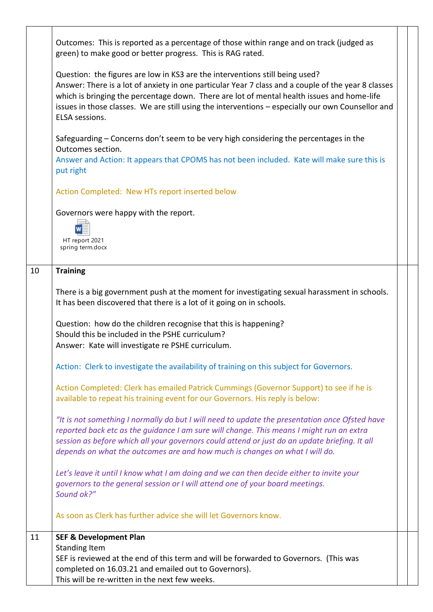|    | Outcomes: This is reported as a percentage of those within range and on track (judged as<br>green) to make good or better progress. This is RAG rated.                                                                                                                                                                                                                                                   |  |  |  |
|----|----------------------------------------------------------------------------------------------------------------------------------------------------------------------------------------------------------------------------------------------------------------------------------------------------------------------------------------------------------------------------------------------------------|--|--|--|
|    | Question: the figures are low in KS3 are the interventions still being used?<br>Answer: There is a lot of anxiety in one particular Year 7 class and a couple of the year 8 classes<br>which is bringing the percentage down. There are lot of mental health issues and home-life<br>issues in those classes. We are still using the interventions - especially our own Counsellor and<br>ELSA sessions. |  |  |  |
|    | Safeguarding – Concerns don't seem to be very high considering the percentages in the<br>Outcomes section.<br>Answer and Action: It appears that CPOMS has not been included. Kate will make sure this is<br>put right                                                                                                                                                                                   |  |  |  |
|    | Action Completed: New HTs report inserted below                                                                                                                                                                                                                                                                                                                                                          |  |  |  |
|    | Governors were happy with the report.<br>HT report 2021<br>spring term.docx                                                                                                                                                                                                                                                                                                                              |  |  |  |
| 10 | <b>Training</b>                                                                                                                                                                                                                                                                                                                                                                                          |  |  |  |
|    | There is a big government push at the moment for investigating sexual harassment in schools.<br>It has been discovered that there is a lot of it going on in schools.                                                                                                                                                                                                                                    |  |  |  |
|    | Question: how do the children recognise that this is happening?<br>Should this be included in the PSHE curriculum?<br>Answer: Kate will investigate re PSHE curriculum.                                                                                                                                                                                                                                  |  |  |  |
|    | Action: Clerk to investigate the availability of training on this subject for Governors.                                                                                                                                                                                                                                                                                                                 |  |  |  |
|    | Action Completed: Clerk has emailed Patrick Cummings (Governor Support) to see if he is<br>available to repeat his training event for our Governors. His reply is below:                                                                                                                                                                                                                                 |  |  |  |
|    | "It is not something I normally do but I will need to update the presentation once Ofsted have<br>reported back etc as the guidance I am sure will change. This means I might run an extra<br>session as before which all your governors could attend or just do an update briefing. It all<br>depends on what the outcomes are and how much is changes on what I will do.                               |  |  |  |
|    | Let's leave it until I know what I am doing and we can then decide either to invite your<br>governors to the general session or I will attend one of your board meetings.<br>Sound ok?"                                                                                                                                                                                                                  |  |  |  |
|    | As soon as Clerk has further advice she will let Governors know.                                                                                                                                                                                                                                                                                                                                         |  |  |  |
| 11 | <b>SEF &amp; Development Plan</b>                                                                                                                                                                                                                                                                                                                                                                        |  |  |  |
|    | <b>Standing Item</b><br>SEF is reviewed at the end of this term and will be forwarded to Governors. (This was<br>completed on 16.03.21 and emailed out to Governors).<br>This will be re-written in the next few weeks.                                                                                                                                                                                  |  |  |  |